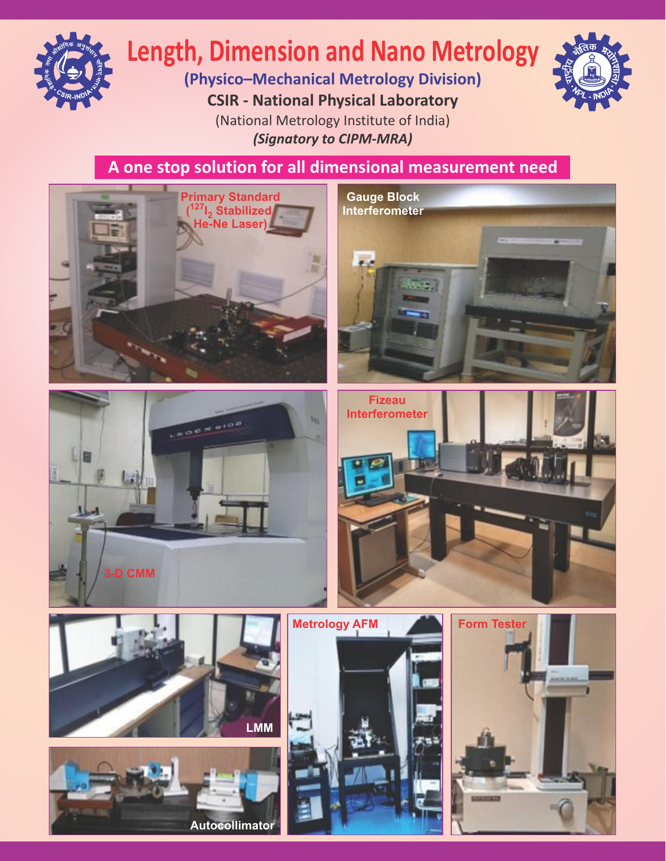

# **Length, Dimension and Nano Metrology**

**(Physico–Mechanical Metrology Division) CSIR - National Physical Laboratory** (National Metrology Institute of India) *(Signatory to CIPM-MRA)*



**A one stop solution for all dimensional measurement need**